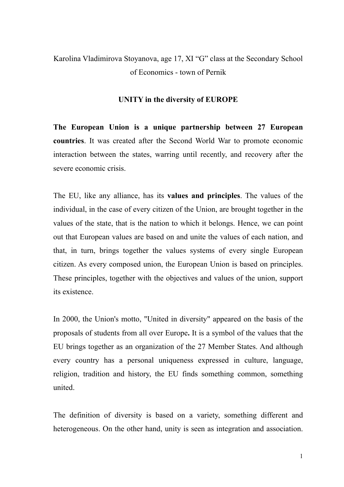# Karolina Vladimirova Stoyanova, age 17, XI "G" class at the Secondary School of Economics - town of Pernik

### **UNITY in the diversity of EUROPE**

**The European Union is a unique partnership between 27 European countries**. It was created after the Second World War to promote economic interaction between the states, warring until recently, and recovery after the severe economic crisis.

The EU, like any alliance, has its **values and principles**. The values of the individual, in the case of every citizen of the Union, are brought together in the values of the state, that is the nation to which it belongs. Hence, we can point out that European values are based on and unite the values of each nation, and that, in turn, brings together the values systems of every single European citizen. As every composed union, the European Union is based on principles. These principles, together with the objectives and values of the union, support its existence.

In 2000, the Union's motto, "United in diversity" appeared on the basis of the proposals of students from all over Europe**.** It is a symbol of the values that the EU brings together as an organization of the 27 Member States. And although every country has a personal uniqueness expressed in culture, language, religion, tradition and history, the EU finds something common, something united.

The definition of diversity is based on a variety, something different and heterogeneous. On the other hand, unity is seen as integration and association.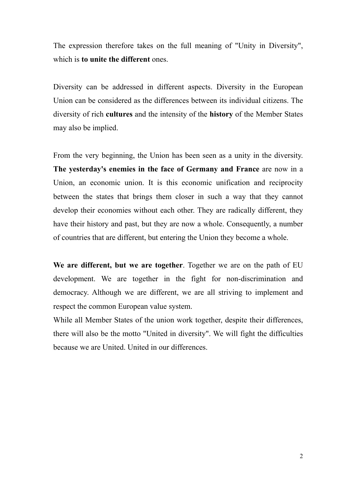The expression therefore takes on the full meaning of "Unity in Diversity", which is **to unite the different** ones.

Diversity can be addressed in different aspects. Diversity in the European Union can be considered as the differences between its individual citizens. The diversity of rich **cultures** and the intensity of the **history** of the Member States may also be implied.

From the very beginning, the Union has been seen as a unity in the diversity. **The yesterday's enemies in the face of Germany and France** are now in a Union, an economic union. It is this economic unification and reciprocity between the states that brings them closer in such a way that they cannot develop their economies without each other. They are radically different, they have their history and past, but they are now a whole. Consequently, a number of countries that are different, but entering the Union they become a whole.

**We are different, but we are together**. Together we are on the path of EU development. We are together in the fight for non-discrimination and democracy. Although we are different, we are all striving to implement and respect the common European value system.

While all Member States of the union work together, despite their differences, there will also be the motto "United in diversity". We will fight the difficulties because we are United. United in our differences.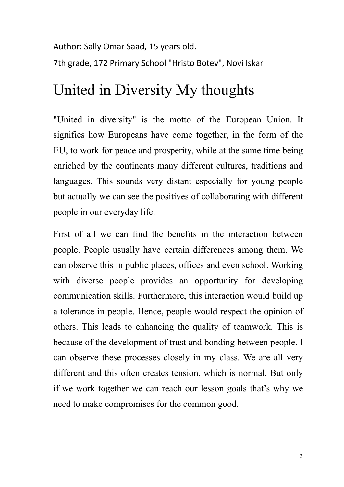Author: Sally Omar Saad, 15 years old.

7th grade, 172 Primary School "Hristo Botev", Novi Iskar

# United in Diversity My thoughts

"United in diversity" is the motto of the European Union. It signifies how Europeans have come together, in the form of the EU, to work for peace and prosperity, while at the same time being enriched by the continents many different cultures, traditions and languages. This sounds very distant especially for young people but actually we can see the positives of collaborating with different people in our everyday life.

First of all we can find the benefits in the interaction between people. People usually have certain differences among them. We can observe this in public places, offices and even school. Working with diverse people provides an opportunity for developing communication skills. Furthermore, this interaction would build up a tolerance in people. Hence, people would respect the opinion of others. This leads to enhancing the quality of teamwork. This is because of the development of trust and bonding between people. I can observe these processes closely in my class. We are all very different and this often creates tension, which is normal. But only if we work together we can reach our lesson goals that's why we need to make compromises for the common good.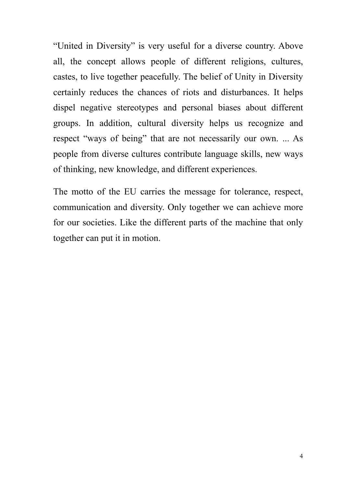"United in Diversity" is very useful for a diverse country. Above all, the concept allows people of different religions, cultures, castes, to live together peacefully. The belief of Unity in Diversity certainly reduces the chances of riots and disturbances. It helps dispel negative stereotypes and personal biases about different groups. In addition, cultural diversity helps us recognize and respect "ways of being" that are not necessarily our own. ... As people from diverse cultures contribute language skills, new ways of thinking, new knowledge, and different experiences.

The motto of the EU carries the message for tolerance, respect, communication and diversity. Only together we can achieve more for our societies. Like the different parts of the machine that only together can put it in motion.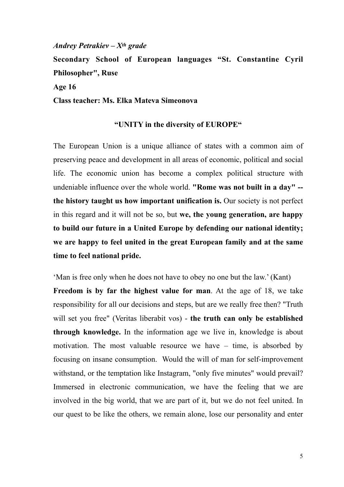#### *Andrey Petrakiev – Xth grade*

**Secondary School of European languages "St. Constantine Cyril Philosopher", Ruse** 

**Age 16** 

**Class teacher: Ms. Elka Mateva Simeonova** 

## **"UNITY in the diversity of EUROPE"**

The European Union is a unique alliance of states with a common aim of preserving peace and development in all areas of economic, political and social life. The economic union has become a complex political structure with undeniable influence over the whole world. **"Rome was not built in a day" - the history taught us how important unification is.** Our society is not perfect in this regard and it will not be so, but **we, the young generation, are happy to build our future in a United Europe by defending our national identity; we are happy to feel united in the great European family and at the same time to feel national pride.** 

'Man is free only when he does not have to obey no one but the law.' (Kant) **Freedom is by far the highest value for man**. At the age of 18, we take responsibility for all our decisions and steps, but are we really free then? "Truth will set you free" (Veritas liberabit vos) - **the truth can only be established through knowledge.** In the information age we live in, knowledge is about motivation. The most valuable resource we have – time, is absorbed by focusing on insane consumption. Would the will of man for self-improvement withstand, or the temptation like Instagram, "only five minutes" would prevail? Immersed in electronic communication, we have the feeling that we are involved in the big world, that we are part of it, but we do not feel united. In our quest to be like the others, we remain alone, lose our personality and enter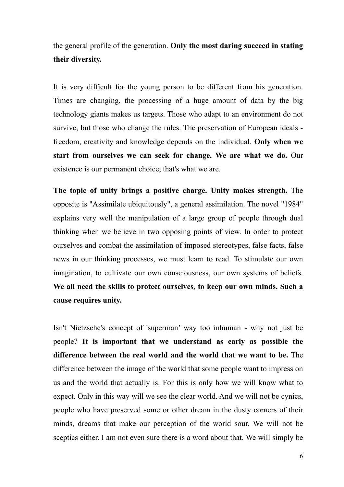the general profile of the generation. **Only the most daring succeed in stating their diversity.** 

It is very difficult for the young person to be different from his generation. Times are changing, the processing of a huge amount of data by the big technology giants makes us targets. Those who adapt to an environment do not survive, but those who change the rules. The preservation of European ideals freedom, creativity and knowledge depends on the individual. **Only when we start from ourselves we can seek for change. We are what we do.** Our existence is our permanent choice, that's what we are.

**The topic of unity brings a positive charge. Unity makes strength.** The opposite is "Assimilate ubiquitously", a general assimilation. The novel "1984" explains very well the manipulation of a large group of people through dual thinking when we believe in two opposing points of view. In order to protect ourselves and combat the assimilation of imposed stereotypes, false facts, false news in our thinking processes, we must learn to read. To stimulate our own imagination, to cultivate our own consciousness, our own systems of beliefs. **We all need the skills to protect ourselves, to keep our own minds. Such a cause requires unity.** 

Isn't Nietzsche's concept of 'superman' way too inhuman - why not just be people? **It is important that we understand as early as possible the difference between the real world and the world that we want to be.** The difference between the image of the world that some people want to impress on us and the world that actually is. For this is only how we will know what to expect. Only in this way will we see the clear world. And we will not be cynics, people who have preserved some or other dream in the dusty corners of their minds, dreams that make our perception of the world sour. We will not be sceptics either. I am not even sure there is a word about that. We will simply be